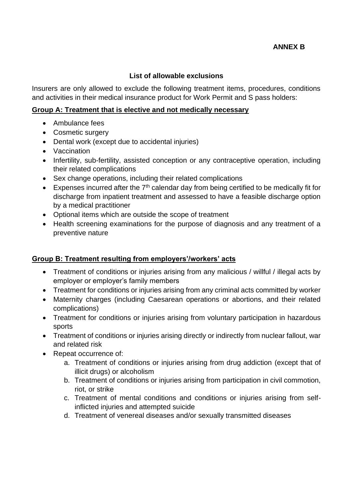# **ANNEX B**

### **List of allowable exclusions**

Insurers are only allowed to exclude the following treatment items, procedures, conditions and activities in their medical insurance product for Work Permit and S pass holders:

#### **Group A: Treatment that is elective and not medically necessary**

- Ambulance fees
- Cosmetic surgery
- Dental work (except due to accidental injuries)
- Vaccination
- Infertility, sub-fertility, assisted conception or any contraceptive operation, including their related complications
- Sex change operations, including their related complications
- Expenses incurred after the  $7<sup>th</sup>$  calendar day from being certified to be medically fit for discharge from inpatient treatment and assessed to have a feasible discharge option by a medical practitioner
- Optional items which are outside the scope of treatment
- Health screening examinations for the purpose of diagnosis and any treatment of a preventive nature

### **Group B: Treatment resulting from employers'/workers' acts**

- Treatment of conditions or injuries arising from any malicious / willful / illegal acts by employer or employer's family members
- Treatment for conditions or injuries arising from any criminal acts committed by worker
- Maternity charges (including Caesarean operations or abortions, and their related complications)
- Treatment for conditions or injuries arising from voluntary participation in hazardous sports
- Treatment of conditions or injuries arising directly or indirectly from nuclear fallout, war and related risk
- Repeat occurrence of:
	- a. Treatment of conditions or injuries arising from drug addiction (except that of illicit drugs) or alcoholism
	- b. Treatment of conditions or injuries arising from participation in civil commotion, riot, or strike
	- c. Treatment of mental conditions and conditions or injuries arising from selfinflicted injuries and attempted suicide
	- d. Treatment of venereal diseases and/or sexually transmitted diseases